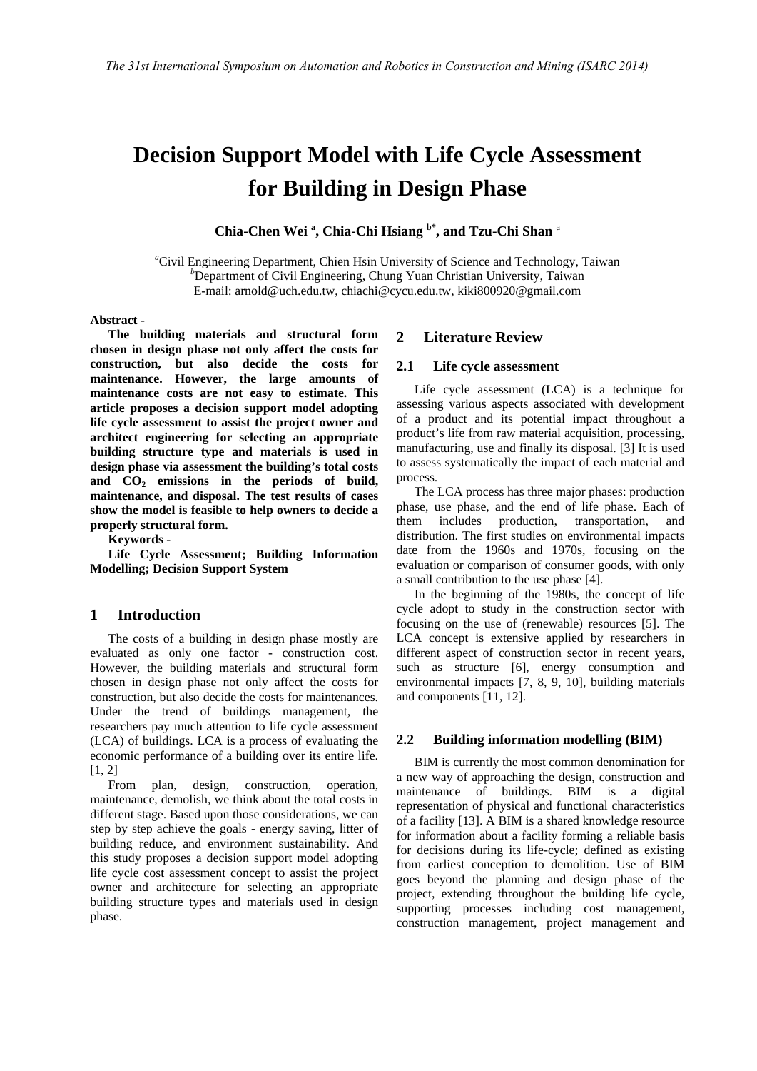# **Decision Support Model with Life Cycle Assessment for Building in Design Phase**

**Chia-Chen Wei <sup>a</sup> , Chia-Chi Hsiang b\*, and Tzu-Chi Shan** <sup>a</sup>

<sup>a</sup>Civil Engineering Department, Chien Hsin University of Science and Technology, Taiwan *b*<sub>Department of Civil Engineering</sub> Chung Vuan Christian University Taiwan  $b$ Department of Civil Engineering, Chung Yuan Christian University, Taiwan E-mail: [arnold@uch](mailto:arnold@)[.edu.tw,](mailto:%20%3cscript%20type=) chiachi@cycu.edu.tw, kiki800920@gmail.com

**Abstract -** 

**The building materials and structural form chosen in design phase not only affect the costs for construction, but also decide the costs for maintenance. However, the large amounts of maintenance costs are not easy to estimate. This article proposes a decision support model adopting life cycle assessment to assist the project owner and architect engineering for selecting an appropriate building structure type and materials is used in design phase via assessment the building's total costs and CO2 emissions in the periods of build, maintenance, and disposal. The test results of cases show the model is feasible to help owners to decide a properly structural form.** 

**Keywords -** 

**Life Cycle Assessment; Building Information Modelling; Decision Support System**

# **1 Introduction**

The costs of a building in design phase mostly are evaluated as only one factor - construction cost. However, the building materials and structural form chosen in design phase not only affect the costs for construction, but also decide the costs for maintenances. Under the trend of buildings management, the researchers pay much attention to life cycle assessment (LCA) of buildings. LCA is a process of evaluating the economic performance of a building over its entire life.  $[1, 2]$ 

From plan, design, construction, operation, maintenance, demolish, we think about the total costs in different stage. Based upon those considerations, we can step by step achieve the goals - energy saving, litter of building reduce, and environment sustainability. And this study proposes a decision support model adopting life cycle cost assessment concept to assist the project owner and architecture for selecting an appropriate building structure types and materials used in design phase.

## **2 Literature Review**

## **2.1 Life cycle assessment**

Life cycle assessment (LCA) is a technique for assessing various aspects associated with development of a product and its potential impact throughout a product's life from raw material acquisition, processing, manufacturing, use and finally its disposal. [3] It is used to assess systematically the impact of each material and process.

The LCA process has three major phases: production phase, use phase, and the end of life phase. Each of them includes production, transportation, and distribution. The first studies on environmental impacts date from the 1960s and 1970s, focusing on the evaluation or comparison of consumer goods, with only a small contribution to the use phase [4].

In the beginning of the 1980s, the concept of life cycle adopt to study in the construction sector with focusing on the use of (renewable) resources [5]. The LCA concept is extensive applied by researchers in different aspect of construction sector in recent years, such as structure [6], energy consumption and environmental impacts [7, 8, 9, 10], building materials and components [11, 12].

#### **2.2 Building information modelling (BIM)**

BIM is currently the most common denomination for a new way of approaching the design, construction and maintenance of buildings. BIM is a digital representation of physical and functional characteristics of a facility [13]. A BIM is a shared knowledge resource for information about a facility forming a reliable basis for decisions during its life-cycle; defined as existing from earliest conception to demolition. Use of BIM goes beyond the planning and design phase of the project, extending throughout the building life cycle, supporting processes including cost management, construction management, project management and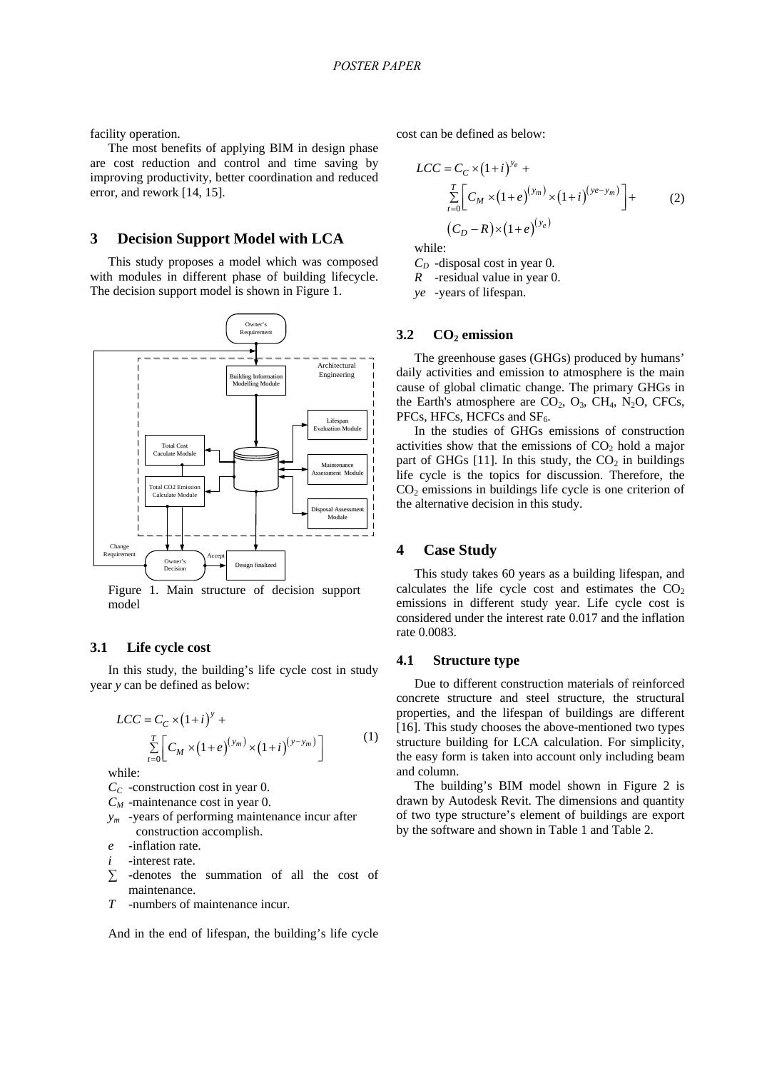facility operation.

The most benefits of applying BIM in design phase are cost reduction and control and time saving by improving productivity, better coordination and reduced error, and rework [14, 15].

#### **3 Decision Support Model with LCA**

This study proposes a model which was composed with modules in different phase of building lifecycle. The decision support model is shown in Figure 1.



#### **3.1 Life cycle cost**

In this study, the building's life cycle cost in study year *y* can be defined as below:

$$
LCC = C_C \times (1+i)^{y} + \sum_{t=0}^{T} \left[ C_M \times (1+e)^{(y_m)} \times (1+i)^{(y-y_m)} \right]
$$
 (1)

while:

- $C_C$  -construction cost in year 0.
- *CM* -maintenance cost in year 0.
- *ym* -years of performing maintenance incur after construction accomplish.
- *e* -inflation rate.
- *i* -interest rate.
- *∑* -denotes the summation of all the cost of maintenance.
- *T* -numbers of maintenance incur.

And in the end of lifespan, the building's life cycle

cost can be defined as below:

$$
LCC = C_C \times (1+i)^{y_e} + \frac{\sum_{t=0}^{T} \left[ C_M \times (1+e)^{(y_m)} \times (1+i)^{(ye-y_m)} \right] + \left( C_D - R \right) \times (1+e)^{(y_e)}
$$
(2)

while:

 $C_D$  -disposal cost in year 0.

*R* -residual value in year 0.

*ye* -years of lifespan.

#### **3.2 CO2 emission**

The greenhouse gases (GHGs) produced by humans' daily activities and emission to atmosphere is the main cause of global climatic change. The primary GHGs in the Earth's atmosphere are  $CO_2$ ,  $O_3$ ,  $CH_4$ ,  $N_2O$ , CFCs, PFCs, HFCs, HCFCs and SF<sub>6</sub>.

In the studies of GHGs emissions of construction activities show that the emissions of  $CO<sub>2</sub>$  hold a major part of GHGs [11]. In this study, the  $CO<sub>2</sub>$  in buildings life cycle is the topics for discussion. Therefore, the  $CO<sub>2</sub>$  emissions in buildings life cycle is one criterion of the alternative decision in this study.

# **4 Case Study**

This study takes 60 years as a building lifespan, and calculates the life cycle cost and estimates the  $CO<sub>2</sub>$ emissions in different study year. Life cycle cost is considered under the interest rate 0.017 and the inflation rate 0.0083.

## **4.1 Structure type**

Due to different construction materials of reinforced concrete structure and steel structure, the structural properties, and the lifespan of buildings are different [16]. This study chooses the above-mentioned two types structure building for LCA calculation. For simplicity, the easy form is taken into account only including beam and column.

The building's BIM model shown in Figure 2 is drawn by Autodesk Revit. The dimensions and quantity of two type structure's element of buildings are export by the software and shown in Table 1 and Table 2.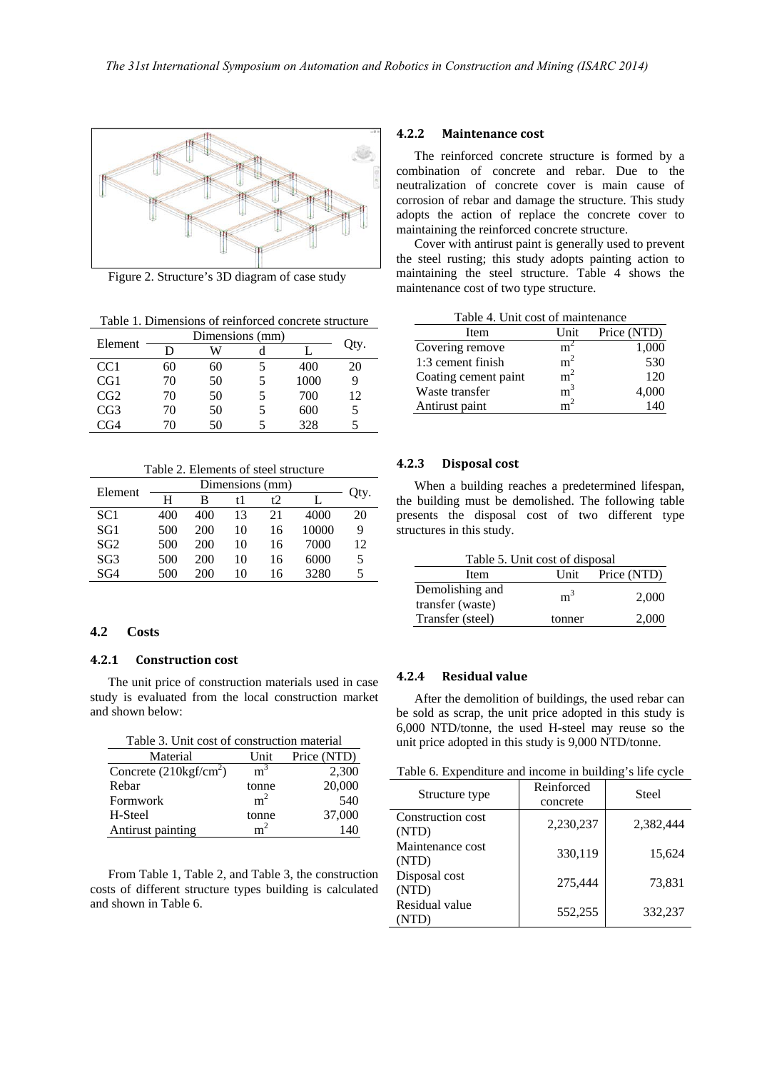

Figure 2. Structure's 3D diagram of case study

Table 1. Dimensions of reinforced concrete structure

| Element         |    | Dimensions (mm) |   |      |      |
|-----------------|----|-----------------|---|------|------|
|                 | D  | W               |   |      | Qty. |
| CC <sub>1</sub> | 60 | 60              |   | 400  | 20   |
| CG1             | 70 | 50              | 5 | 1000 | 9    |
| CG2             | 70 | 50              | 5 | 700  | 12   |
| CG3             | 70 | 50              |   | 600  | 5    |
| ነና4             | 70 | 50              |   | 328  | 5    |

Table 2. Elements of steel structure

| Element         | Dimensions (mm) |     |    |    |       |      |
|-----------------|-----------------|-----|----|----|-------|------|
|                 | н               | в   |    | t  |       | Qty. |
| SC <sub>1</sub> | 400             | 400 | 13 | 21 | 4000  | 20   |
| SG <sub>1</sub> | 500             | 200 | 10 | 16 | 10000 | 9    |
| SG <sub>2</sub> | 500             | 200 | 10 | 16 | 7000  | 12   |
| SG3             | 500             | 200 | 10 | 16 | 6000  | 5.   |
| SG4             | 500             | 200 | 10 | 16 | 3280  |      |

## **4.2 Costs**

## **4.2.1 Construction cost**

The unit price of construction materials used in case study is evaluated from the local construction market and shown below:

|  |  | Table 3. Unit cost of construction material |  |
|--|--|---------------------------------------------|--|
|--|--|---------------------------------------------|--|

| Material                        | Unit           | Price (NTD) |
|---------------------------------|----------------|-------------|
| Concrete $(210\text{kgf/cm}^2)$ | m <sup>3</sup> | 2,300       |
| Rebar                           | tonne          | 20,000      |
| Formwork                        | m <sup>2</sup> | 540         |
| H-Steel                         | tonne          | 37,000      |
| Antirust painting               | m <sup>2</sup> | 140         |

From Table 1, Table 2, and Table 3, the construction costs of different structure types building is calculated and shown in Table 6.

### **4.2.2 Maintenance cost**

The reinforced concrete structure is formed by a combination of concrete and rebar. Due to the neutralization of concrete cover is main cause of corrosion of rebar and damage the structure. This study adopts the action of replace the concrete cover to maintaining the reinforced concrete structure.

Cover with antirust paint is generally used to prevent the steel rusting; this study adopts painting action to maintaining the steel structure. Table 4 shows the maintenance cost of two type structure.

|  | Table 4. Unit cost of maintenance |
|--|-----------------------------------|
|--|-----------------------------------|

| Item                 | Unit           | Price (NTD) |
|----------------------|----------------|-------------|
| Covering remove      | m              | 1,000       |
| 1:3 cement finish    | m <sup>2</sup> | 530         |
| Coating cement paint | m <sup>2</sup> | 120         |
| Waste transfer       | m <sup>3</sup> | 4.000       |
| Antirust paint       |                | 140         |

#### **4.2.3 Disposal cost**

When a building reaches a predetermined lifespan, the building must be demolished. The following table presents the disposal cost of two different type structures in this study.

| Table 5. Unit cost of disposal |                |                  |  |  |
|--------------------------------|----------------|------------------|--|--|
| Item                           |                | Unit Price (NTD) |  |  |
| Demolishing and                | m <sup>3</sup> | 2,000            |  |  |
| transfer (waste)               |                |                  |  |  |
| Transfer (steel)               | tonner         | 2,000            |  |  |

# **4.2.4 Residual value**

After the demolition of buildings, the used rebar can be sold as scrap, the unit price adopted in this study is 6,000 NTD/tonne, the used H-steel may reuse so the unit price adopted in this study is 9,000 NTD/tonne.

Table 6. Expenditure and income in building's life cycle

| Structure type             | Reinforced<br>concrete | Steel     |
|----------------------------|------------------------|-----------|
| Construction cost<br>(NTD) | 2,230,237              | 2,382,444 |
| Maintenance cost<br>(NTD)  | 330,119                | 15,624    |
| Disposal cost<br>(NTD)     | 275,444                | 73,831    |
| Residual value             | 552,255                | 332,237   |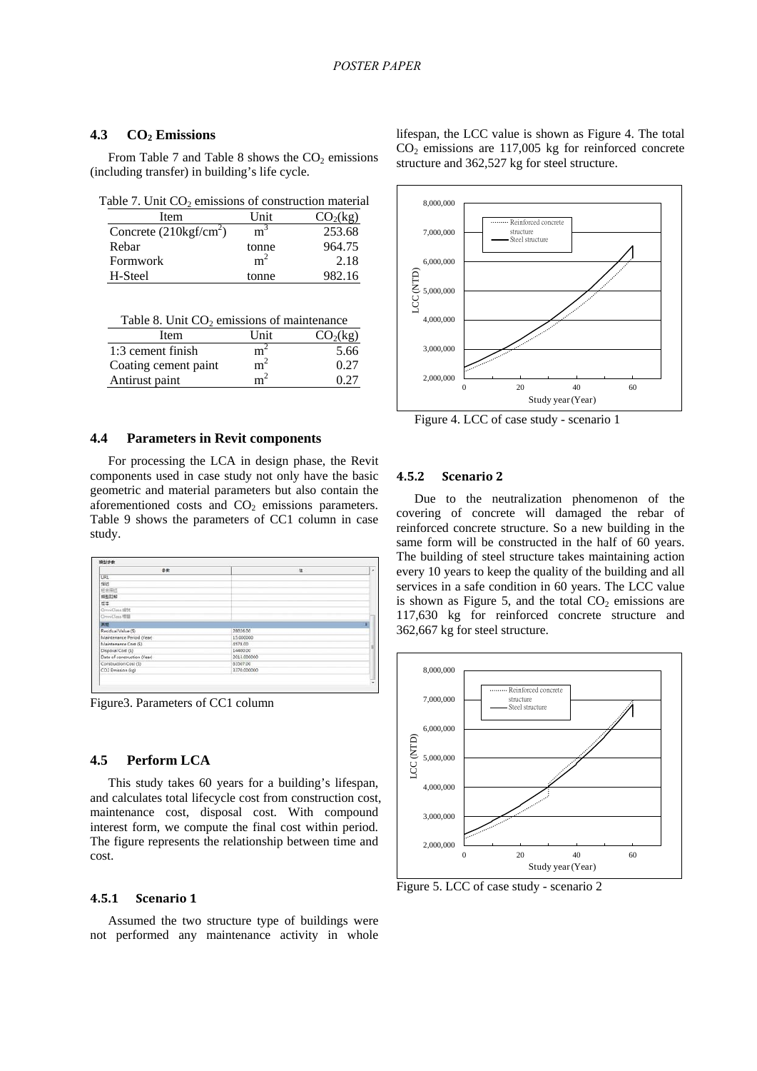## 4.3 **CO<sub>2</sub>** Emissions

From Table 7 and Table 8 shows the  $CO<sub>2</sub>$  emissions (including transfer) in building's life cycle.

| Table 7. Unit $CO_2$ emissions of construction material |  |
|---------------------------------------------------------|--|
|---------------------------------------------------------|--|

| Item                            | <b>Unit</b>    | CO <sub>2</sub> (kg) |
|---------------------------------|----------------|----------------------|
| Concrete $(210\text{kgf/cm}^2)$ | m <sup>3</sup> | 253.68               |
| Rebar                           | tonne          | 964.75               |
| Formwork                        | m              | 2.18                 |
| H-Steel                         | tonne          | 982.16               |

| Table 8. Unit $CO2$ emissions of maintenance |
|----------------------------------------------|
|----------------------------------------------|

| Item                 | Unit           | CO <sub>2</sub> (kg) |
|----------------------|----------------|----------------------|
| 1:3 cement finish    | $m^-$          | 5.66                 |
| Coating cement paint | $m^2$          | 0.27                 |
| Antirust paint       | m <sup>2</sup> | 0.27                 |

### **4.4 Parameters in Revit components**

For processing the LCA in design phase, the Revit components used in case study not only have the basic geometric and material parameters but also contain the aforementioned costs and  $CO<sub>2</sub>$  emissions parameters. Table 9 shows the parameters of CC1 column in case study.

| 参数                          | 值           | S. |
|-----------------------------|-------------|----|
| <b>URL</b>                  |             |    |
| 推结                          |             |    |
| 经常描述                        |             |    |
| 细型耳蜗                        |             |    |
| 53                          |             |    |
| OrnniClass (ES)             |             |    |
| OmniClass 措置                |             |    |
| $\overline{AC}$             |             | ø  |
| Residual Value (\$)         | 28026.00    |    |
| Maintenance Period (Year)   | 15.000000   |    |
| Maintenance Cost (\$)       | 4578.00     | E  |
| Disposal Cost (\$)          | 14400.00    |    |
| Date of construction (Year) | 2013.000000 |    |
| Construction Cost (\$)      | 83507.00    |    |
| CO2 Emission (kg)           | 3370.000000 |    |

Figure3. Parameters of CC1 column

## **4.5 Perform LCA**

This study takes 60 years for a building's lifespan, and calculates total lifecycle cost from construction cost, maintenance cost, disposal cost. With compound interest form, we compute the final cost within period. The figure represents the relationship between time and cost.

#### **4.5.1 Scenario 1**

Assumed the two structure type of buildings were not performed any maintenance activity in whole lifespan, the LCC value is shown as Figure 4. The total  $CO<sub>2</sub>$  emissions are 117,005 kg for reinforced concrete structure and 362,527 kg for steel structure.



Figure 4. LCC of case study - scenario 1

## **4.5.2 Scenario 2**

Due to the neutralization phenomenon of the covering of concrete will damaged the rebar of reinforced concrete structure. So a new building in the same form will be constructed in the half of 60 years. The building of steel structure takes maintaining action every 10 years to keep the quality of the building and all services in a safe condition in 60 years. The LCC value is shown as Figure 5, and the total  $CO<sub>2</sub>$  emissions are 117,630 kg for reinforced concrete structure and 362,667 kg for steel structure.



Figure 5. LCC of case study - scenario 2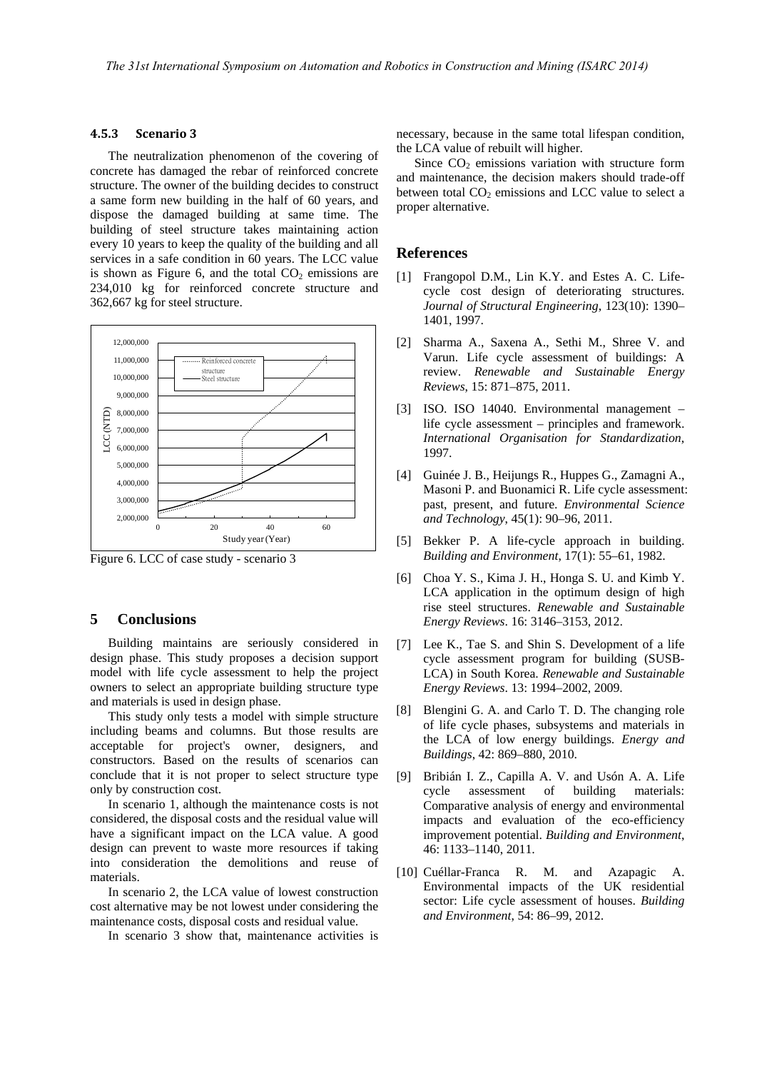## **4.5.3 Scenario 3**

The neutralization phenomenon of the covering of concrete has damaged the rebar of reinforced concrete structure. The owner of the building decides to construct a same form new building in the half of 60 years, and dispose the damaged building at same time. The building of steel structure takes maintaining action every 10 years to keep the quality of the building and all services in a safe condition in 60 years. The LCC value is shown as Figure 6, and the total  $CO<sub>2</sub>$  emissions are 234,010 kg for reinforced concrete structure and 362,667 kg for steel structure.



Figure 6. LCC of case study - scenario 3

# **5 Conclusions**

Building maintains are seriously considered in design phase. This study proposes a decision support model with life cycle assessment to help the project owners to select an appropriate building structure type and materials is used in design phase.

This study only tests a model with simple structure including beams and columns. But those results are acceptable for project's owner, designers, and constructors. Based on the results of scenarios can conclude that it is not proper to select structure type only by construction cost.

In scenario 1, although the maintenance costs is not considered, the disposal costs and the residual value will have a significant impact on the LCA value. A good design can prevent to waste more resources if taking into consideration the demolitions and reuse of materials.

In scenario 2, the LCA value of lowest construction cost alternative may be not lowest under considering the maintenance costs, disposal costs and residual value.

In scenario 3 show that, maintenance activities is

necessary, because in the same total lifespan condition, the LCA value of rebuilt will higher.

Since  $CO<sub>2</sub>$  emissions variation with structure form and maintenance, the decision makers should trade-off between total  $CO<sub>2</sub>$  emissions and LCC value to select a proper alternative.

## **References**

- [1] Frangopol D.M., Lin K.Y. and Estes A. C. Lifecycle cost design of deteriorating structures. *Journal of Structural Engineering*, 123(10): 1390– 1401, 1997.
- [2] Sharma A., Saxena A., Sethi M., Shree V. and Varun. Life cycle assessment of buildings: A review. *Renewable and Sustainable Energy Reviews*, 15: 871–875, 2011.
- [3] ISO. ISO 14040. Environmental management life cycle assessment – principles and framework. *International Organisation for Standardization*, 1997.
- [4] Guinée J. B., Heijungs R., Huppes G., Zamagni A., Masoni P. and Buonamici R. Life cycle assessment: past, present, and future. *Environmental Science and Technology*, 45(1): 90–96, 2011.
- [5] Bekker P. A life-cycle approach in building. *Building and Environment*, 17(1): 55–61, 1982.
- [6] Choa Y. S., Kima J. H., Honga S. U. and Kimb Y. LCA application in the optimum design of high rise steel structures. *Renewable and Sustainable Energy Reviews*. 16: 3146–3153, 2012.
- [7] Lee K., Tae S. and Shin S. Development of a life cycle assessment program for building (SUSB-LCA) in South Korea. *Renewable and Sustainable Energy Reviews*. 13: 1994–2002, 2009.
- [8] Blengini G. A. and Carlo T. D. The changing role of life cycle phases, subsystems and materials in the LCA of low energy buildings. *Energy and Buildings*, 42: 869–880, 2010.
- [9] Bribián I. Z., Capilla A. V. and Usón A. A. Life cycle assessment of building materials: Comparative analysis of energy and environmental impacts and evaluation of the eco-efficiency improvement potential. *Building and Environment*, 46: 1133–1140, 2011.
- [10] Cuéllar-Franca R. M. and Azapagic A. Environmental impacts of the UK residential sector: Life cycle assessment of houses. *Building and Environment*, 54: 86–99, 2012.